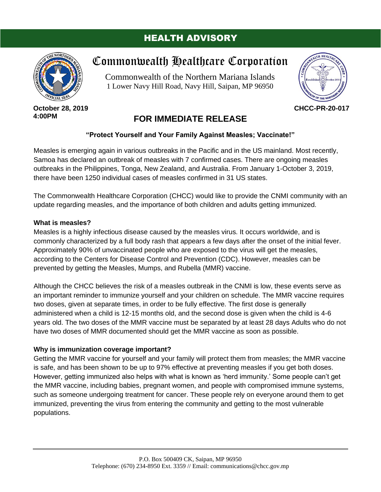## HEALTH ADVISORY



**October 28, 2019 4:00PM**

# Commonwealth Healthcare Corporation

Commonwealth of the Northern Mariana Islands 1 Lower Navy Hill Road, Navy Hill, Saipan, MP 96950



**CHCC-PR-20-017**

# **FOR IMMEDIATE RELEASE**

## **"Protect Yourself and Your Family Against Measles; Vaccinate!"**

Measles is emerging again in various outbreaks in the Pacific and in the US mainland. Most recently, Samoa has declared an outbreak of measles with 7 confirmed cases. There are ongoing measles outbreaks in the Philippines, Tonga, New Zealand, and Australia. From January 1-October 3, 2019, there have been 1250 individual cases of measles confirmed in 31 US states.

The Commonwealth Healthcare Corporation (CHCC) would like to provide the CNMI community with an update regarding measles, and the importance of both children and adults getting immunized.

#### **What is measles?**

Measles is a highly infectious disease caused by the measles virus. It occurs worldwide, and is commonly characterized by a full body rash that appears a few days after the onset of the initial fever. Approximately 90% of unvaccinated people who are exposed to the virus will get the measles, according to the Centers for Disease Control and Prevention (CDC). However, measles can be prevented by getting the Measles, Mumps, and Rubella (MMR) vaccine.

Although the CHCC believes the risk of a measles outbreak in the CNMI is low, these events serve as an important reminder to immunize yourself and your children on schedule. The MMR vaccine requires two doses, given at separate times, in order to be fully effective. The first dose is generally administered when a child is 12-15 months old, and the second dose is given when the child is 4-6 years old. The two doses of the MMR vaccine must be separated by at least 28 days Adults who do not have two doses of MMR documented should get the MMR vaccine as soon as possible.

### **Why is immunization coverage important?**

Getting the MMR vaccine for yourself and your family will protect them from measles; the MMR vaccine is safe, and has been shown to be up to 97% effective at preventing measles if you get both doses. However, getting immunized also helps with what is known as 'herd immunity.' Some people can't get the MMR vaccine, including babies, pregnant women, and people with compromised immune systems, such as someone undergoing treatment for cancer. These people rely on everyone around them to get immunized, preventing the virus from entering the community and getting to the most vulnerable populations.